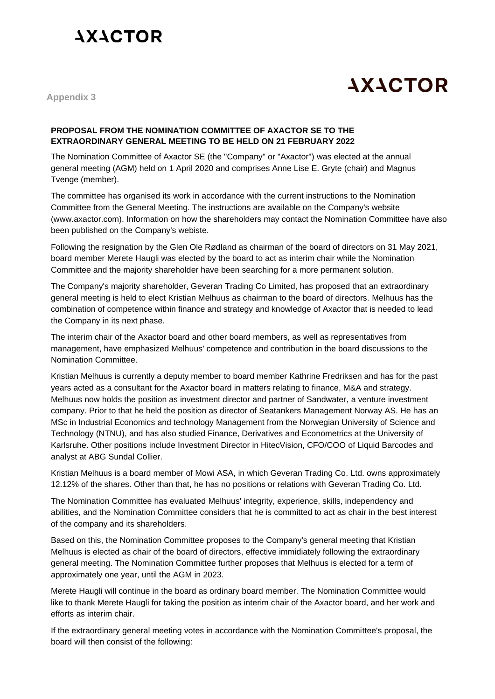## **AXACTOR**

## **AXACTOR**

**Appendix 3**

## **PROPOSAL FROM THE NOMINATION COMMITTEE OF AXACTOR SE TO THE EXTRAORDINARY GENERAL MEETING TO BE HELD ON 21 FEBRUARY 2022**

The Nomination Committee of Axactor SE (the "Company" or "Axactor") was elected at the annual general meeting (AGM) held on 1 April 2020 and comprises Anne Lise E. Gryte (chair) and Magnus Tvenge (member).

The committee has organised its work in accordance with the current instructions to the Nomination Committee from the General Meeting. The instructions are available on the Company's website (www.axactor.com). Information on how the shareholders may contact the Nomination Committee have also been published on the Company's webiste.

Following the resignation by the Glen Ole Rødland as chairman of the board of directors on 31 May 2021, board member Merete Haugli was elected by the board to act as interim chair while the Nomination Committee and the majority shareholder have been searching for a more permanent solution.

The Company's majority shareholder, Geveran Trading Co Limited, has proposed that an extraordinary general meeting is held to elect Kristian Melhuus as chairman to the board of directors. Melhuus has the combination of competence within finance and strategy and knowledge of Axactor that is needed to lead the Company in its next phase.

The interim chair of the Axactor board and other board members, as well as representatives from management, have emphasized Melhuus' competence and contribution in the board discussions to the Nomination Committee.

Kristian Melhuus is currently a deputy member to board member Kathrine Fredriksen and has for the past years acted as a consultant for the Axactor board in matters relating to finance, M&A and strategy. Melhuus now holds the position as investment director and partner of Sandwater, a venture investment company. Prior to that he held the position as director of Seatankers Management Norway AS. He has an MSc in Industrial Economics and technology Management from the Norwegian University of Science and Technology (NTNU), and has also studied Finance, Derivatives and Econometrics at the University of Karlsruhe. Other positions include Investment Director in HitecVision, CFO/COO of Liquid Barcodes and analyst at ABG Sundal Collier.

Kristian Melhuus is a board member of Mowi ASA, in which Geveran Trading Co. Ltd. owns approximately 12.12% of the shares. Other than that, he has no positions or relations with Geveran Trading Co. Ltd.

The Nomination Committee has evaluated Melhuus' integrity, experience, skills, independency and abilities, and the Nomination Committee considers that he is committed to act as chair in the best interest of the company and its shareholders.

Based on this, the Nomination Committee proposes to the Company's general meeting that Kristian Melhuus is elected as chair of the board of directors, effective immidiately following the extraordinary general meeting. The Nomination Committee further proposes that Melhuus is elected for a term of approximately one year, until the AGM in 2023.

Merete Haugli will continue in the board as ordinary board member. The Nomination Committee would like to thank Merete Haugli for taking the position as interim chair of the Axactor board, and her work and efforts as interim chair.

If the extraordinary general meeting votes in accordance with the Nomination Committee's proposal, the board will then consist of the following: